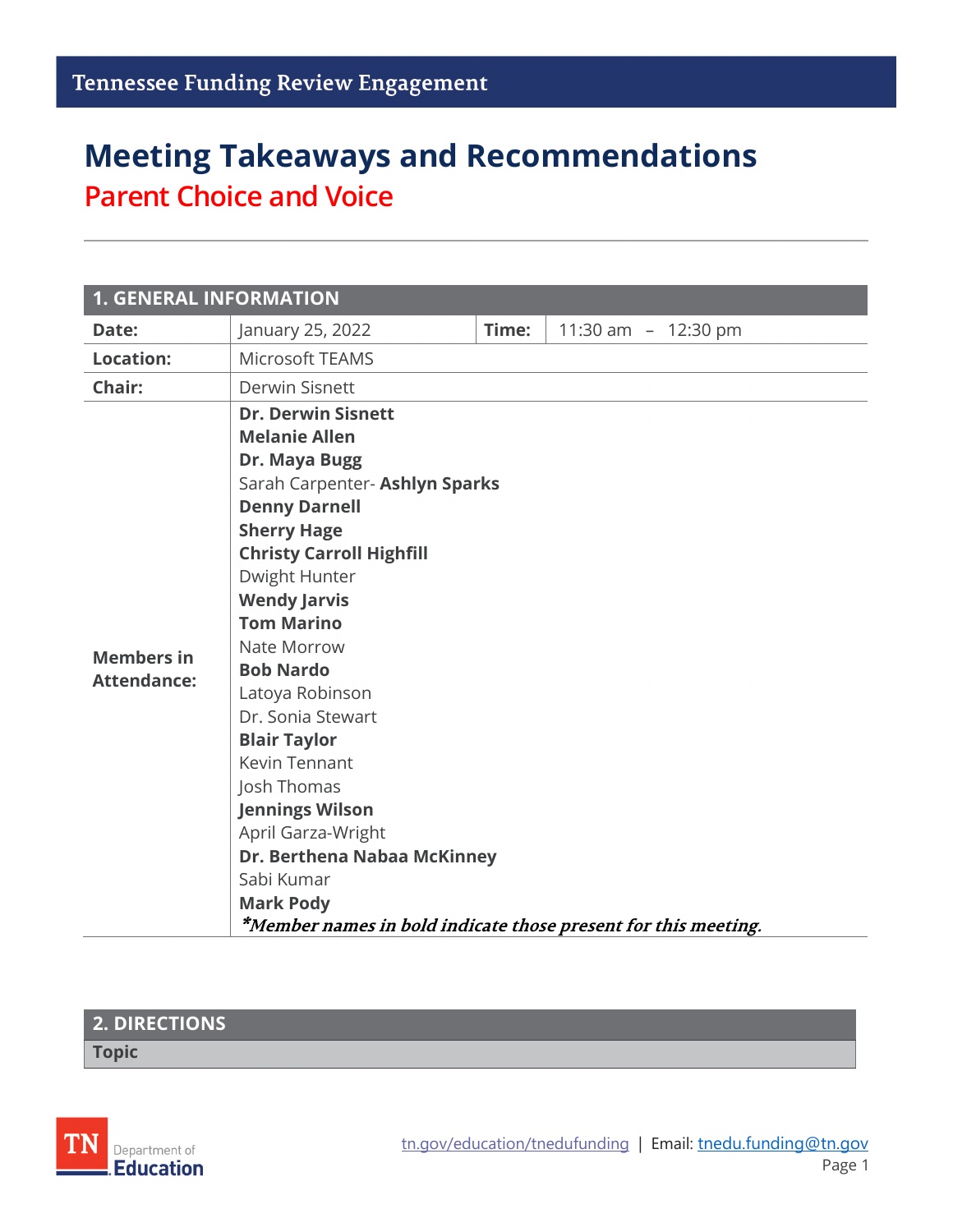# **Meeting Takeaways and Recommendations Parent Choice and Voice**

| <b>1. GENERAL INFORMATION</b> |                                                                |       |                     |  |  |
|-------------------------------|----------------------------------------------------------------|-------|---------------------|--|--|
| Date:                         | January 25, 2022                                               | Time: | 11:30 am - 12:30 pm |  |  |
| <b>Location:</b>              | <b>Microsoft TEAMS</b>                                         |       |                     |  |  |
| Chair:                        | <b>Derwin Sisnett</b>                                          |       |                     |  |  |
|                               | <b>Dr. Derwin Sisnett</b>                                      |       |                     |  |  |
|                               | <b>Melanie Allen</b>                                           |       |                     |  |  |
|                               | Dr. Maya Bugg                                                  |       |                     |  |  |
|                               | Sarah Carpenter- Ashlyn Sparks                                 |       |                     |  |  |
|                               | <b>Denny Darnell</b>                                           |       |                     |  |  |
|                               | <b>Sherry Hage</b>                                             |       |                     |  |  |
|                               | <b>Christy Carroll Highfill</b>                                |       |                     |  |  |
|                               | Dwight Hunter                                                  |       |                     |  |  |
|                               | <b>Wendy Jarvis</b>                                            |       |                     |  |  |
|                               | <b>Tom Marino</b>                                              |       |                     |  |  |
| <b>Members in</b>             | Nate Morrow                                                    |       |                     |  |  |
| <b>Attendance:</b>            | <b>Bob Nardo</b>                                               |       |                     |  |  |
|                               | Latoya Robinson                                                |       |                     |  |  |
|                               | Dr. Sonia Stewart                                              |       |                     |  |  |
|                               | <b>Blair Taylor</b>                                            |       |                     |  |  |
|                               | Kevin Tennant                                                  |       |                     |  |  |
|                               | Josh Thomas                                                    |       |                     |  |  |
|                               | <b>Jennings Wilson</b>                                         |       |                     |  |  |
|                               | April Garza-Wright                                             |       |                     |  |  |
|                               | Dr. Berthena Nabaa McKinney                                    |       |                     |  |  |
|                               | Sabi Kumar                                                     |       |                     |  |  |
|                               | <b>Mark Pody</b>                                               |       |                     |  |  |
|                               | *Member names in bold indicate those present for this meeting. |       |                     |  |  |

#### **2. DIRECTIONS**

**Topic**

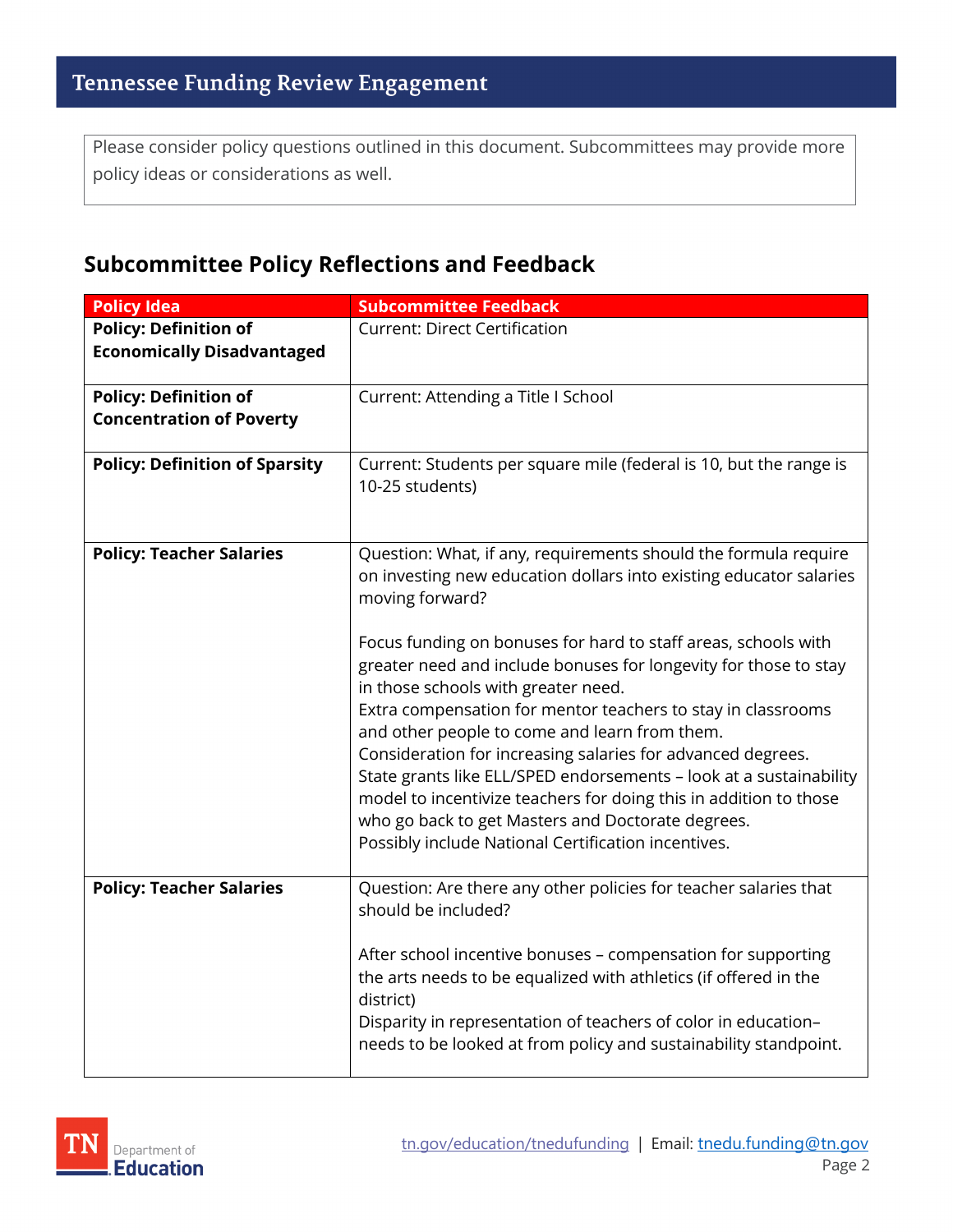Please consider policy questions outlined in this document. Subcommittees may provide more policy ideas or considerations as well.

#### **Subcommittee Policy Reflections and Feedback**

| <b>Policy Idea</b>                                                | <b>Subcommittee Feedback</b>                                                                                                                                                                                                                                                                                                                                                                                                                                                                         |
|-------------------------------------------------------------------|------------------------------------------------------------------------------------------------------------------------------------------------------------------------------------------------------------------------------------------------------------------------------------------------------------------------------------------------------------------------------------------------------------------------------------------------------------------------------------------------------|
| <b>Policy: Definition of</b><br><b>Economically Disadvantaged</b> | <b>Current: Direct Certification</b>                                                                                                                                                                                                                                                                                                                                                                                                                                                                 |
| <b>Policy: Definition of</b><br><b>Concentration of Poverty</b>   | Current: Attending a Title I School                                                                                                                                                                                                                                                                                                                                                                                                                                                                  |
| <b>Policy: Definition of Sparsity</b>                             | Current: Students per square mile (federal is 10, but the range is<br>10-25 students)                                                                                                                                                                                                                                                                                                                                                                                                                |
| <b>Policy: Teacher Salaries</b>                                   | Question: What, if any, requirements should the formula require<br>on investing new education dollars into existing educator salaries<br>moving forward?                                                                                                                                                                                                                                                                                                                                             |
|                                                                   | Focus funding on bonuses for hard to staff areas, schools with<br>greater need and include bonuses for longevity for those to stay<br>in those schools with greater need.<br>Extra compensation for mentor teachers to stay in classrooms<br>and other people to come and learn from them.<br>Consideration for increasing salaries for advanced degrees.<br>State grants like ELL/SPED endorsements - look at a sustainability<br>model to incentivize teachers for doing this in addition to those |
|                                                                   | who go back to get Masters and Doctorate degrees.<br>Possibly include National Certification incentives.                                                                                                                                                                                                                                                                                                                                                                                             |
| <b>Policy: Teacher Salaries</b>                                   | Question: Are there any other policies for teacher salaries that<br>should be included?<br>After school incentive bonuses - compensation for supporting<br>the arts needs to be equalized with athletics (if offered in the<br>district)<br>Disparity in representation of teachers of color in education-<br>needs to be looked at from policy and sustainability standpoint.                                                                                                                       |

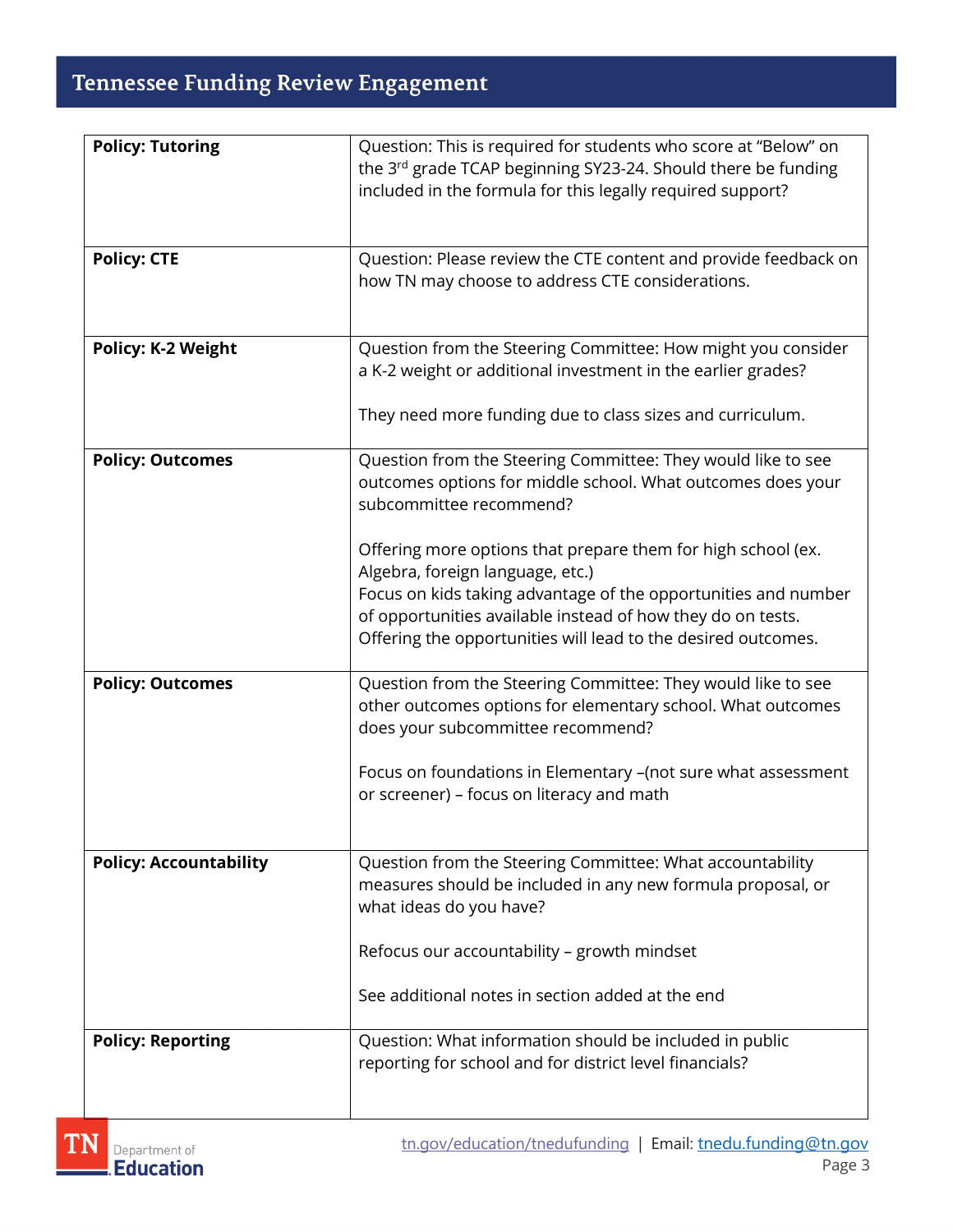## **Tennessee Funding Review Engagement**

| <b>Policy: Tutoring</b>       | Question: This is required for students who score at "Below" on                                                               |
|-------------------------------|-------------------------------------------------------------------------------------------------------------------------------|
|                               | the 3rd grade TCAP beginning SY23-24. Should there be funding                                                                 |
|                               | included in the formula for this legally required support?                                                                    |
|                               |                                                                                                                               |
| <b>Policy: CTE</b>            | Question: Please review the CTE content and provide feedback on                                                               |
|                               | how TN may choose to address CTE considerations.                                                                              |
|                               |                                                                                                                               |
|                               |                                                                                                                               |
| <b>Policy: K-2 Weight</b>     | Question from the Steering Committee: How might you consider                                                                  |
|                               | a K-2 weight or additional investment in the earlier grades?                                                                  |
|                               |                                                                                                                               |
|                               | They need more funding due to class sizes and curriculum.                                                                     |
| <b>Policy: Outcomes</b>       | Question from the Steering Committee: They would like to see                                                                  |
|                               | outcomes options for middle school. What outcomes does your                                                                   |
|                               | subcommittee recommend?                                                                                                       |
|                               |                                                                                                                               |
|                               | Offering more options that prepare them for high school (ex.                                                                  |
|                               | Algebra, foreign language, etc.)                                                                                              |
|                               | Focus on kids taking advantage of the opportunities and number<br>of opportunities available instead of how they do on tests. |
|                               | Offering the opportunities will lead to the desired outcomes.                                                                 |
|                               |                                                                                                                               |
| <b>Policy: Outcomes</b>       | Question from the Steering Committee: They would like to see                                                                  |
|                               | other outcomes options for elementary school. What outcomes                                                                   |
|                               | does your subcommittee recommend?                                                                                             |
|                               | Focus on foundations in Elementary -(not sure what assessment                                                                 |
|                               | or screener) - focus on literacy and math                                                                                     |
|                               |                                                                                                                               |
|                               |                                                                                                                               |
| <b>Policy: Accountability</b> | Question from the Steering Committee: What accountability                                                                     |
|                               | measures should be included in any new formula proposal, or                                                                   |
|                               | what ideas do you have?                                                                                                       |
|                               | Refocus our accountability - growth mindset                                                                                   |
|                               |                                                                                                                               |
|                               | See additional notes in section added at the end                                                                              |
|                               |                                                                                                                               |
| <b>Policy: Reporting</b>      | Question: What information should be included in public                                                                       |
|                               | reporting for school and for district level financials?                                                                       |
|                               |                                                                                                                               |

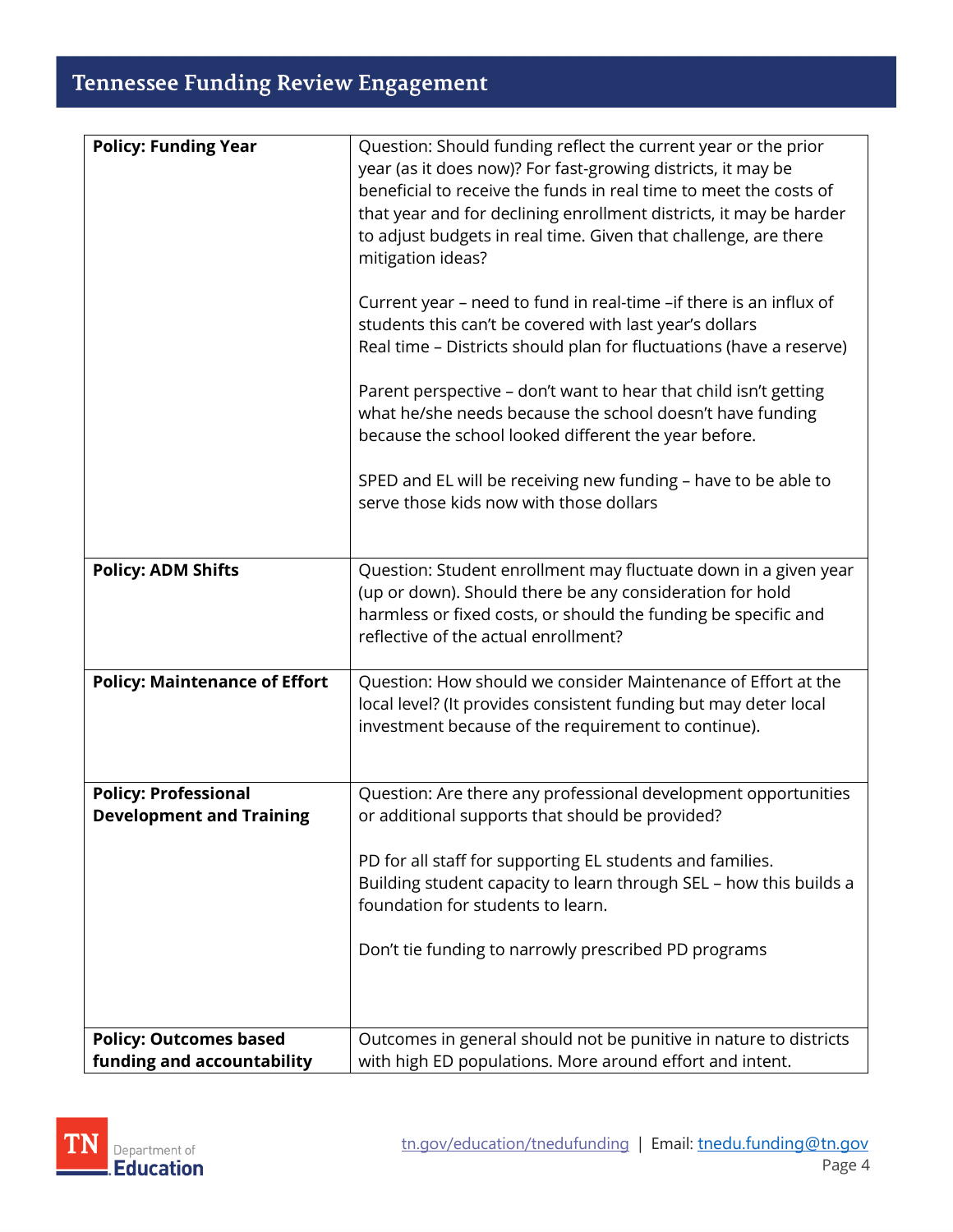## **Tennessee Funding Review Engagement**

| <b>Policy: Funding Year</b>          | Question: Should funding reflect the current year or the prior                                                          |
|--------------------------------------|-------------------------------------------------------------------------------------------------------------------------|
|                                      | year (as it does now)? For fast-growing districts, it may be                                                            |
|                                      | beneficial to receive the funds in real time to meet the costs of                                                       |
|                                      | that year and for declining enrollment districts, it may be harder                                                      |
|                                      | to adjust budgets in real time. Given that challenge, are there                                                         |
|                                      | mitigation ideas?                                                                                                       |
|                                      | Current year - need to fund in real-time -if there is an influx of                                                      |
|                                      | students this can't be covered with last year's dollars                                                                 |
|                                      | Real time - Districts should plan for fluctuations (have a reserve)                                                     |
|                                      | Parent perspective - don't want to hear that child isn't getting                                                        |
|                                      | what he/she needs because the school doesn't have funding                                                               |
|                                      | because the school looked different the year before.                                                                    |
|                                      | SPED and EL will be receiving new funding - have to be able to                                                          |
|                                      | serve those kids now with those dollars                                                                                 |
|                                      |                                                                                                                         |
| <b>Policy: ADM Shifts</b>            | Question: Student enrollment may fluctuate down in a given year                                                         |
|                                      | (up or down). Should there be any consideration for hold                                                                |
|                                      | harmless or fixed costs, or should the funding be specific and                                                          |
|                                      | reflective of the actual enrollment?                                                                                    |
|                                      |                                                                                                                         |
| <b>Policy: Maintenance of Effort</b> | Question: How should we consider Maintenance of Effort at the                                                           |
|                                      | local level? (It provides consistent funding but may deter local<br>investment because of the requirement to continue). |
|                                      |                                                                                                                         |
|                                      |                                                                                                                         |
| <b>Policy: Professional</b>          | Question: Are there any professional development opportunities                                                          |
| <b>Development and Training</b>      | or additional supports that should be provided?                                                                         |
|                                      | PD for all staff for supporting EL students and families.                                                               |
|                                      | Building student capacity to learn through SEL - how this builds a                                                      |
|                                      | foundation for students to learn.                                                                                       |
|                                      |                                                                                                                         |
|                                      | Don't tie funding to narrowly prescribed PD programs                                                                    |
|                                      |                                                                                                                         |
|                                      |                                                                                                                         |
| <b>Policy: Outcomes based</b>        | Outcomes in general should not be punitive in nature to districts                                                       |
| funding and accountability           | with high ED populations. More around effort and intent.                                                                |